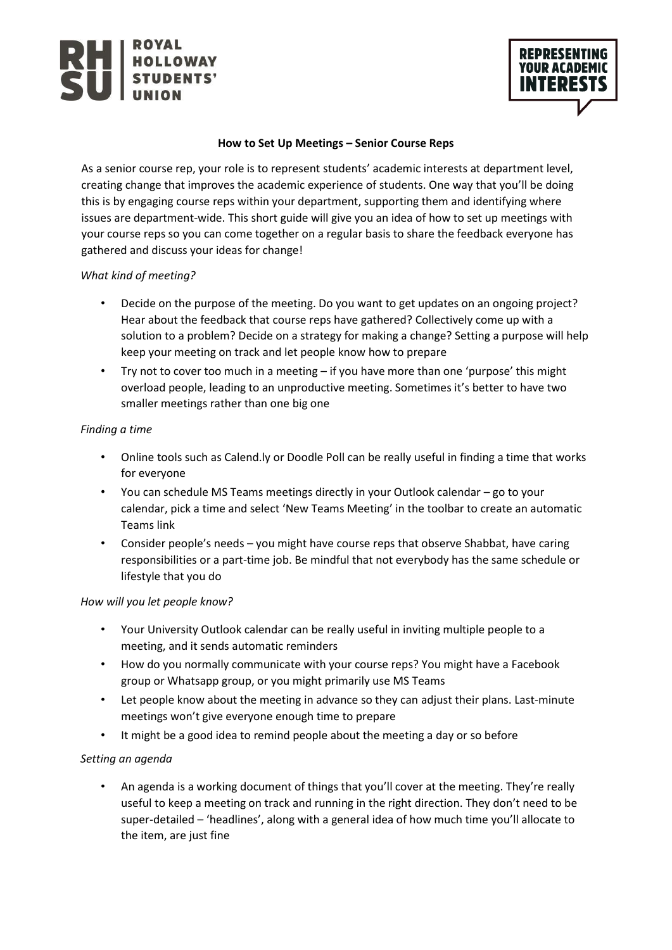

# **How to Set Up Meetings – Senior Course Reps**

As a senior course rep, your role is to represent students' academic interests at department level, creating change that improves the academic experience of students. One way that you'll be doing this is by engaging course reps within your department, supporting them and identifying where issues are department-wide. This short guide will give you an idea of how to set up meetings with your course reps so you can come together on a regular basis to share the feedback everyone has gathered and discuss your ideas for change!

## *What kind of meeting?*

- Decide on the purpose of the meeting. Do you want to get updates on an ongoing project? Hear about the feedback that course reps have gathered? Collectively come up with a solution to a problem? Decide on a strategy for making a change? Setting a purpose will help keep your meeting on track and let people know how to prepare
- Try not to cover too much in a meeting if you have more than one 'purpose' this might overload people, leading to an unproductive meeting. Sometimes it's better to have two smaller meetings rather than one big one

## *Finding a time*

- Online tools such as Calend.ly or Doodle Poll can be really useful in finding a time that works for everyone
- You can schedule MS Teams meetings directly in your Outlook calendar go to your calendar, pick a time and select 'New Teams Meeting' in the toolbar to create an automatic Teams link
- Consider people's needs you might have course reps that observe Shabbat, have caring responsibilities or a part-time job. Be mindful that not everybody has the same schedule or lifestyle that you do

### *How will you let people know?*

- Your University Outlook calendar can be really useful in inviting multiple people to a meeting, and it sends automatic reminders
- How do you normally communicate with your course reps? You might have a Facebook group or Whatsapp group, or you might primarily use MS Teams
- Let people know about the meeting in advance so they can adjust their plans. Last-minute meetings won't give everyone enough time to prepare
- It might be a good idea to remind people about the meeting a day or so before

# *Setting an agenda*

• An agenda is a working document of things that you'll cover at the meeting. They're really useful to keep a meeting on track and running in the right direction. They don't need to be super-detailed – 'headlines', along with a general idea of how much time you'll allocate to the item, are just fine